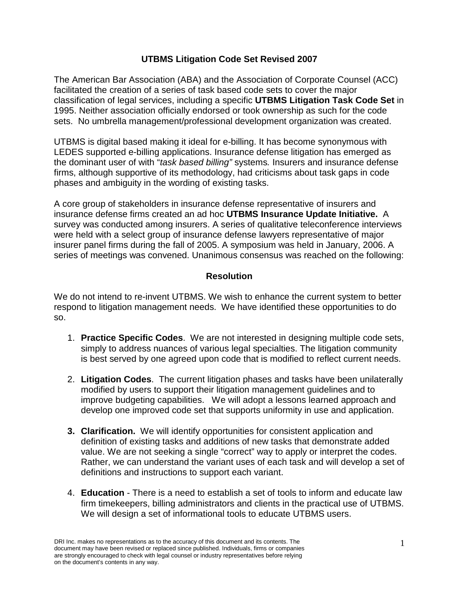# **UTBMS Litigation Code Set Revised 2007**

The American Bar Association (ABA) and the Association of Corporate Counsel (ACC) facilitated the creation of a series of task based code sets to cover the major classification of legal services, including a specific **UTBMS Litigation Task Code Set** in 1995. Neither association officially endorsed or took ownership as such for the code sets. No umbrella management/professional development organization was created.

UTBMS is digital based making it ideal for e-billing. It has become synonymous with LEDES supported e-billing applications. Insurance defense litigation has emerged as the dominant user of with "*task based billing"* systems*.* Insurers and insurance defense firms, although supportive of its methodology, had criticisms about task gaps in code phases and ambiguity in the wording of existing tasks.

A core group of stakeholders in insurance defense representative of insurers and insurance defense firms created an ad hoc **UTBMS Insurance Update Initiative.** A survey was conducted among insurers. A series of qualitative teleconference interviews were held with a select group of insurance defense lawyers representative of major insurer panel firms during the fall of 2005. A symposium was held in January, 2006. A series of meetings was convened. Unanimous consensus was reached on the following:

# **Resolution**

We do not intend to re-invent UTBMS. We wish to enhance the current system to better respond to litigation management needs. We have identified these opportunities to do so.

- 1. **Practice Specific Codes**. We are not interested in designing multiple code sets, simply to address nuances of various legal specialties. The litigation community is best served by one agreed upon code that is modified to reflect current needs.
- 2. **Litigation Codes**. The current litigation phases and tasks have been unilaterally modified by users to support their litigation management guidelines and to improve budgeting capabilities. We will adopt a lessons learned approach and develop one improved code set that supports uniformity in use and application.
- **3. Clarification.** We will identify opportunities for consistent application and definition of existing tasks and additions of new tasks that demonstrate added value. We are not seeking a single "correct" way to apply or interpret the codes. Rather, we can understand the variant uses of each task and will develop a set of definitions and instructions to support each variant.
- 4. **Education** There is a need to establish a set of tools to inform and educate law firm timekeepers, billing administrators and clients in the practical use of UTBMS. We will design a set of informational tools to educate UTBMS users.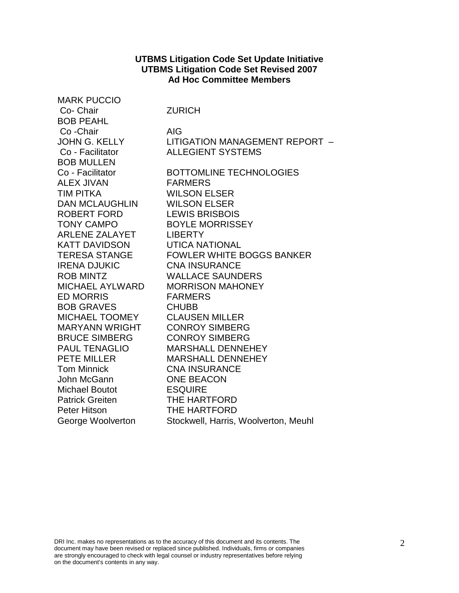#### **UTBMS Litigation Code Set Update Initiative UTBMS Litigation Code Set Revised 2007 Ad Hoc Committee Members**

| <b>MARK PUCCIO</b>     |                                      |
|------------------------|--------------------------------------|
| Co- Chair              | <b>ZURICH</b>                        |
| <b>BOB PEAHL</b>       |                                      |
| Co-Chair               | <b>AIG</b>                           |
| <b>JOHN G. KELLY</b>   | LITIGATION MANAGEMENT REPORT -       |
| Co - Facilitator       | <b>ALLEGIENT SYSTEMS</b>             |
| <b>BOB MULLEN</b>      |                                      |
| Co - Facilitator       | <b>BOTTOMLINE TECHNOLOGIES</b>       |
| <b>ALEX JIVAN</b>      | <b>FARMERS</b>                       |
| <b>TIM PITKA</b>       | <b>WILSON ELSER</b>                  |
| <b>DAN MCLAUGHLIN</b>  | <b>WILSON ELSER</b>                  |
| ROBERT FORD            | <b>LEWIS BRISBOIS</b>                |
| <b>TONY CAMPO</b>      | <b>BOYLE MORRISSEY</b>               |
| ARLENE ZALAYET         | <b>LIBERTY</b>                       |
| <b>KATT DAVIDSON</b>   | <b>UTICA NATIONAL</b>                |
| <b>TERESA STANGE</b>   | <b>FOWLER WHITE BOGGS BANKER</b>     |
| <b>IRENA DJUKIC</b>    | <b>CNA INSURANCE</b>                 |
| <b>ROB MINTZ</b>       | <b>WALLACE SAUNDERS</b>              |
| <b>MICHAEL AYLWARD</b> | <b>MORRISON MAHONEY</b>              |
| <b>ED MORRIS</b>       | <b>FARMERS</b>                       |
| <b>BOB GRAVES</b>      | <b>CHUBB</b>                         |
| MICHAEL TOOMEY         | <b>CLAUSEN MILLER</b>                |
| <b>MARYANN WRIGHT</b>  | <b>CONROY SIMBERG</b>                |
| <b>BRUCE SIMBERG</b>   | <b>CONROY SIMBERG</b>                |
| <b>PAUL TENAGLIO</b>   | <b>MARSHALL DENNEHEY</b>             |
| <b>PETE MILLER</b>     | <b>MARSHALL DENNEHEY</b>             |
| <b>Tom Minnick</b>     | <b>CNA INSURANCE</b>                 |
| John McGann            | <b>ONE BEACON</b>                    |
| <b>Michael Boutot</b>  | <b>ESQUIRE</b>                       |
| <b>Patrick Greiten</b> | THE HARTFORD                         |
| <b>Peter Hitson</b>    | THE HARTFORD                         |
| George Woolverton      | Stockwell, Harris, Woolverton, Meuhl |

2 DRI Inc. makes no representations as to the accuracy of this document and its contents. The document may have been revised or replaced since published. Individuals, firms or companies are strongly encouraged to check with legal counsel or industry representatives before relying on the document's contents in any way.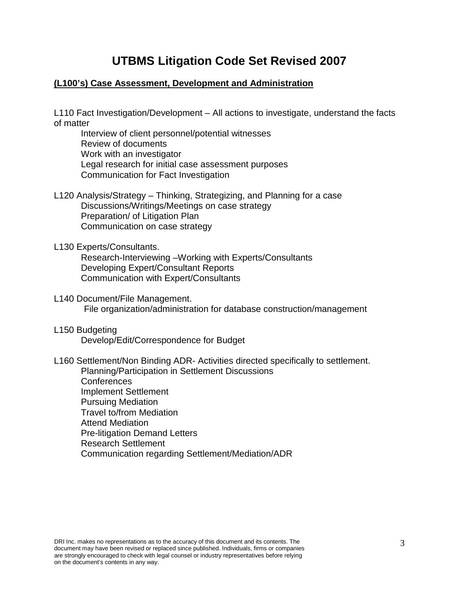# **UTBMS Litigation Code Set Revised 2007**

# **(L100's) Case Assessment, Development and Administration**

L110 Fact Investigation/Development – All actions to investigate, understand the facts of matter

Interview of client personnel/potential witnesses Review of documents Work with an investigator Legal research for initial case assessment purposes Communication for Fact Investigation

L120 Analysis/Strategy – Thinking, Strategizing, and Planning for a case Discussions/Writings/Meetings on case strategy Preparation/ of Litigation Plan Communication on case strategy

L130 Experts/Consultants.

Research-Interviewing –Working with Experts/Consultants Developing Expert/Consultant Reports Communication with Expert/Consultants

- L140 Document/File Management. File organization/administration for database construction/management
- L150 Budgeting Develop/Edit/Correspondence for Budget
- L160 Settlement/Non Binding ADR- Activities directed specifically to settlement.

Planning/Participation in Settlement Discussions Conferences Implement Settlement Pursuing Mediation Travel to/from Mediation Attend Mediation Pre-litigation Demand Letters Research Settlement Communication regarding Settlement/Mediation/ADR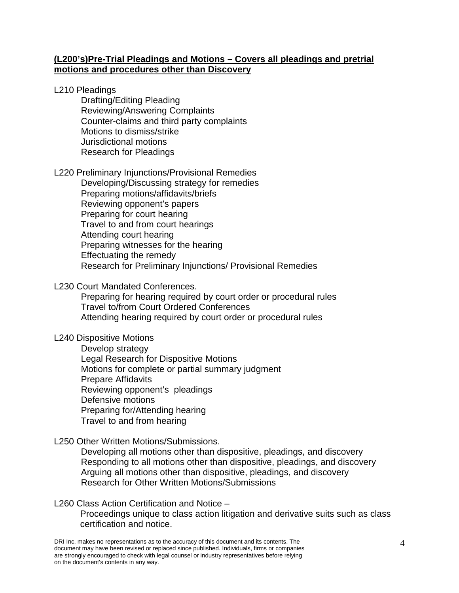## **(L200's)Pre-Trial Pleadings and Motions – Covers all pleadings and pretrial motions and procedures other than Discovery**

### L210 Pleadings

Drafting/Editing Pleading Reviewing/Answering Complaints Counter-claims and third party complaints Motions to dismiss/strike Jurisdictional motions Research for Pleadings

## L220 Preliminary Injunctions/Provisional Remedies

Developing/Discussing strategy for remedies Preparing motions/affidavits/briefs Reviewing opponent's papers Preparing for court hearing Travel to and from court hearings Attending court hearing Preparing witnesses for the hearing Effectuating the remedy Research for Preliminary Injunctions/ Provisional Remedies

## L230 Court Mandated Conferences.

Preparing for hearing required by court order or procedural rules Travel to/from Court Ordered Conferences Attending hearing required by court order or procedural rules

## L240 Dispositive Motions

Develop strategy Legal Research for Dispositive Motions Motions for complete or partial summary judgment Prepare Affidavits Reviewing opponent's pleadings Defensive motions Preparing for/Attending hearing Travel to and from hearing

## L250 Other Written Motions/Submissions.

Developing all motions other than dispositive, pleadings, and discovery Responding to all motions other than dispositive, pleadings, and discovery Arguing all motions other than dispositive, pleadings, and discovery Research for Other Written Motions/Submissions

#### L260 Class Action Certification and Notice –

Proceedings unique to class action litigation and derivative suits such as class certification and notice.

DRI Inc. makes no representations as to the accuracy of this document and its contents. The  $4$ document may have been revised or replaced since published. Individuals, firms or companies are strongly encouraged to check with legal counsel or industry representatives before relying on the document's contents in any way.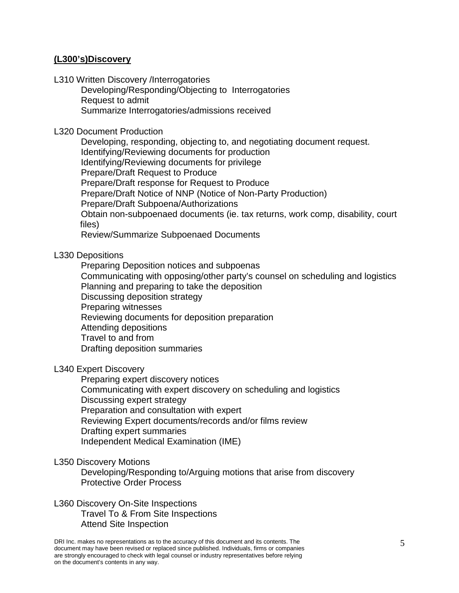## **(L300's)Discovery**

L310 Written Discovery /Interrogatories

Developing/Responding/Objecting to Interrogatories Request to admit Summarize Interrogatories/admissions received

L320 Document Production

Developing, responding, objecting to, and negotiating document request. Identifying/Reviewing documents for production Identifying/Reviewing documents for privilege Prepare/Draft Request to Produce Prepare/Draft response for Request to Produce Prepare/Draft Notice of NNP (Notice of Non-Party Production) Prepare/Draft Subpoena/Authorizations Obtain non-subpoenaed documents (ie. tax returns, work comp, disability, court files)

Review/Summarize Subpoenaed Documents

L330 Depositions

Preparing Deposition notices and subpoenas Communicating with opposing/other party's counsel on scheduling and logistics Planning and preparing to take the deposition Discussing deposition strategy Preparing witnesses Reviewing documents for deposition preparation Attending depositions Travel to and from Drafting deposition summaries

L340 Expert Discovery

Preparing expert discovery notices Communicating with expert discovery on scheduling and logistics Discussing expert strategy Preparation and consultation with expert Reviewing Expert documents/records and/or films review Drafting expert summaries Independent Medical Examination (IME)

L350 Discovery Motions

Developing/Responding to/Arguing motions that arise from discovery Protective Order Process

L360 Discovery On-Site Inspections Travel To & From Site Inspections Attend Site Inspection

5 DRI Inc. makes no representations as to the accuracy of this document and its contents. The document may have been revised or replaced since published. Individuals, firms or companies are strongly encouraged to check with legal counsel or industry representatives before relying on the document's contents in any way.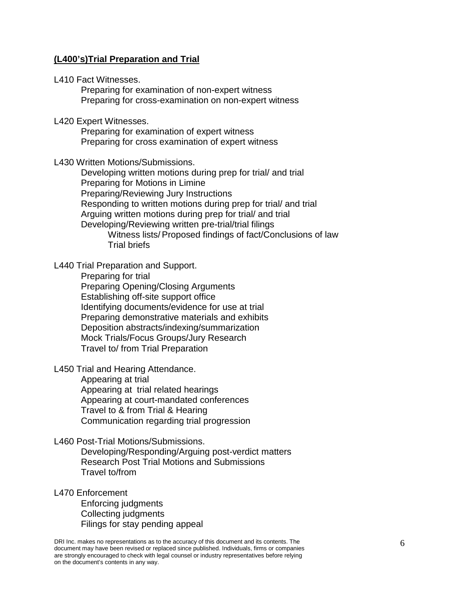### **(L400's)Trial Preparation and Trial**

L410 Fact Witnesses.

Preparing for examination of non-expert witness Preparing for cross-examination on non-expert witness

L420 Expert Witnesses.

Preparing for examination of expert witness Preparing for cross examination of expert witness

L430 Written Motions/Submissions.

Developing written motions during prep for trial/ and trial Preparing for Motions in Limine Preparing/Reviewing Jury Instructions Responding to written motions during prep for trial/ and trial Arguing written motions during prep for trial/ and trial Developing/Reviewing written pre-trial/trial filings Witness lists/Proposed findings of fact/Conclusions of law Trial briefs

L440 Trial Preparation and Support.

Preparing for trial

Preparing Opening/Closing Arguments Establishing off-site support office Identifying documents/evidence for use at trial Preparing demonstrative materials and exhibits Deposition abstracts/indexing/summarization Mock Trials/Focus Groups/Jury Research Travel to/ from Trial Preparation

L450 Trial and Hearing Attendance.

Appearing at trial Appearing at trial related hearings

Appearing at court-mandated conferences Travel to & from Trial & Hearing Communication regarding trial progression

L460 Post-Trial Motions/Submissions.

Developing/Responding/Arguing post-verdict matters Research Post Trial Motions and Submissions Travel to/from

L470 Enforcement

Enforcing judgments Collecting judgments Filings for stay pending appeal

DRI Inc. makes no representations as to the accuracy of this document and its contents. The  $6\,$ document may have been revised or replaced since published. Individuals, firms or companies are strongly encouraged to check with legal counsel or industry representatives before relying on the document's contents in any way.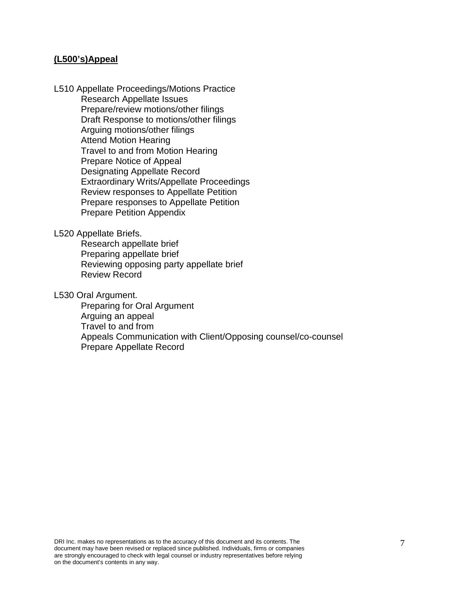#### **(L500's)Appeal**

L510 Appellate Proceedings/Motions Practice Research Appellate Issues Prepare/review motions/other filings Draft Response to motions/other filings Arguing motions/other filings Attend Motion Hearing Travel to and from Motion Hearing Prepare Notice of Appeal Designating Appellate Record Extraordinary Writs/Appellate Proceedings Review responses to Appellate Petition Prepare responses to Appellate Petition Prepare Petition Appendix

L520 Appellate Briefs.

Research appellate brief Preparing appellate brief Reviewing opposing party appellate brief Review Record

L530 Oral Argument.

Preparing for Oral Argument Arguing an appeal Travel to and from Appeals Communication with Client/Opposing counsel/co-counsel Prepare Appellate Record